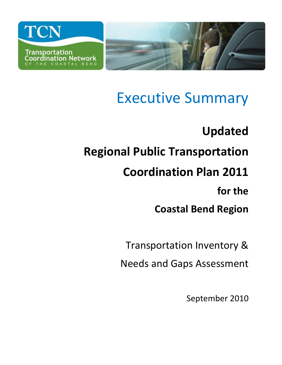

# Executive Summary

# **Updated Regional Public Transportation Coordination Plan 2011 for the Coastal Bend Region**

Transportation Inventory &

Needs and Gaps Assessment

September 2010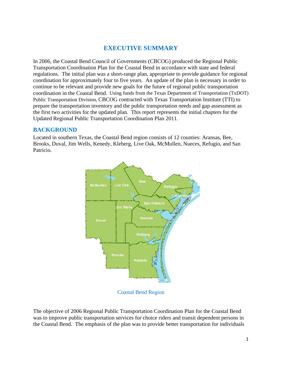# **EXECUTIVE SUMMARY**

In 2006, the Coastal Bend Council of Governments (CBCOG) produced the Regional Public Transportation Coordination Plan for the Coastal Bend in accordance with state and federal regulations. The initial plan was a short-range plan, appropriate to provide guidance for regional coordination for approximately four to five years. An update of the plan is necessary in order to continue to be relevant and provide new goals for the future of regional public transportation coordination in the Coastal Bend. Using funds from the Texas Department of Transportation (TxDOT) Public Transportation Division, CBCOG contracted with Texas Transportation Institute (TTI) to prepare the transportation inventory and the public transportation needs and gap assessment as the first two activities for the updated plan. This report represents the initial chapters for the Updated Regional Public Transportation Coordination Plan 2011.

#### **BACKGROUND**

Located in southern Texas, the Coastal Bend region consists of 12 counties: Aransas, Bee, Brooks, Duval, Jim Wells, Kenedy, Kleberg, Live Oak, McMullen, Nueces, Refugio, and San Patricio.



Coastal Bend Region

The objective of 2006 Regional Public Transportation Coordination Plan for the Coastal Bend was to improve public transportation services for choice riders and transit dependent persons in the Coastal Bend. The emphasis of the plan was to provide better transportation for individuals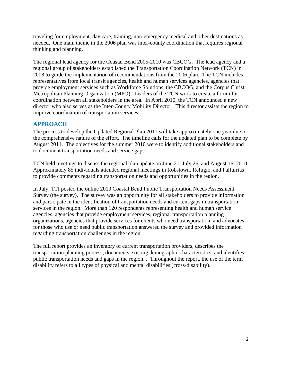traveling for employment, day care, training, non-emergency medical and other destinations as needed. One main theme in the 2006 plan was inter-county coordination that requires regional thinking and planning.

The regional lead agency for the Coastal Bend 2005-2010 was CBCOG. The lead agency and a regional group of stakeholders established the Transportation Coordination Network (TCN) in 2008 to guide the implementation of recommendations from the 2006 plan. The TCN includes representatives from local transit agencies, health and human services agencies, agencies that provide employment services such as Workforce Solutions, the CBCOG, and the Corpus Christi Metropolitan Planning Organization (MPO). Leaders of the TCN work to create a forum for coordination between all stakeholders in the area. In April 2010, the TCN announced a new director who also serves as the Inter-County Mobility Director. This director assists the region to improve coordination of transportation services.

## **APPROACH**

The process to develop the Updated Regional Plan 2011 will take approximately one year due to the comprehensive nature of the effort. The timeline calls for the updated plan to be complete by August 2011. The objectives for the summer 2010 were to identify additional stakeholders and to document transportation needs and service gaps.

TCN held meetings to discuss the regional plan update on June 21, July 26, and August 16, 2010. Approximately 85 individuals attended regional meetings in Robstown, Refugio, and Falfurrias to provide comments regarding transportation needs and opportunities in the region.

In July, TTI posted the online 2010 Coastal Bend Public Transportation Needs Assessment Survey (the survey). The survey was an opportunity for all stakeholders to provide information and participate in the identification of transportation needs and current gaps in transportation services in the region. More than 120 respondents representing health and human service agencies, agencies that provide employment services, regional transportation planning organizations, agencies that provide services for clients who need transportation, and advocates for those who use or need public transportation answered the survey and provided information regarding transportation challenges in the region.

The full report provides an inventory of current transportation providers, describes the transportation planning process, documents existing demographic characteristics, and identifies public transportation needs and gaps in the region. . Throughout the report, the use of the term disability refers to all types of physical and mental disabilities (cross-disability).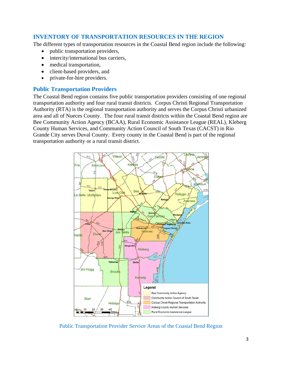### **INVENTORY OF TRANSPORTATION RESOURCES IN THE REGION**

The different types of transportation resources in the Coastal Bend region include the following:

- public transportation providers,
- intercity/international bus carriers,
- medical transportation,
- client-based providers, and
- private-for-hire providers.

#### **Public Transportation Providers**

The Coastal Bend region contains five public transportation providers consisting of one regional transportation authority and four rural transit districts. Corpus Christi Regional Transportation Authority (RTA) is the regional transportation authority and serves the Corpus Christi urbanized area and all of Nueces County. The four rural transit districts within the Coastal Bend region are Bee Community Action Agency (BCAA), Rural Economic Assistance League (REAL), Kleberg County Human Services, and Community Action Council of South Texas (CACST) in Rio Grande City serves Duval County. Every county in the Coastal Bend is part of the regional transportation authority or a rural transit district.



Public Transportation Provider Service Areas of the Coastal Bend Region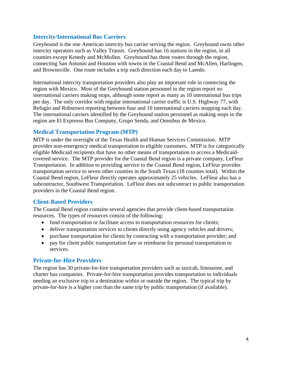#### **Intercity/International Bus Carriers**

Greyhound is the one American intercity bus carrier serving the region. Greyhound owns other intercity operators such as Valley Transit. Greyhound has 16 stations in the region, in all counties except Kenedy and McMullen. Greyhound has three routes through the region, connecting San Antonio and Houston with towns in the Coastal Bend and McAllen, Harlingen, and Brownsville. One route includes a trip each direction each day to Laredo.

International intercity transportation providers also play an important role in connecting the region with Mexico. Most of the Greyhound station personnel in the region report no international carriers making stops, although some report as many as 10 international bus trips per day. The only corridor with regular international carrier traffic is U.S. Highway 77, with Refugio and Robstown reporting between four and 10 international carriers stopping each day. The international carriers identified by the Greyhound station personnel as making stops in the region are El Expresso Bus Company, Grupo Senda, and Omnibus de Mexico.

#### **Medical Transportation Program (MTP)**

MTP is under the oversight of the Texas Health and Human Services Commission. MTP provides non-emergency medical transportation to eligible customers. MTP is for categorically eligible Medicaid recipients that have no other means of transportation to access a Medicaidcovered service. The MTP provider for the Coastal Bend region is a private company, LeFleur Transportation. In addition to providing service to the Coastal Bend region, LeFleur provides transportation service to seven other counties in the South Texas (18 counties total). Within the Coastal Bend region, LeFleur directly operates approximately 25 vehicles. LeFleur also has a subcontractor, Southwest Transportation. LeFleur does not subcontract to public transportation providers in the Coastal Bend region.

### **Client-Based Providers**

The Coastal Bend region contains several agencies that provide client-based transportation resources. The types of resources consist of the following:

- fund transportation or facilitate access to transportation resources for clients;
- deliver transportation services to clients directly using agency vehicles and drivers;
- purchase transportation for clients by contracting with a transportation provider; and
- pay for client public transportation fare or reimburse for personal transportation to services.

### **Private-for-Hire Providers**

The region has 30 private-for-hire transportation providers such as taxicab, limousine, and charter bus companies. Private-for-hire transportation provides transportation to individuals needing an exclusive trip to a destination within or outside the region. The typical trip by private-for-hire is a higher cost than the same trip by public transportation (if available).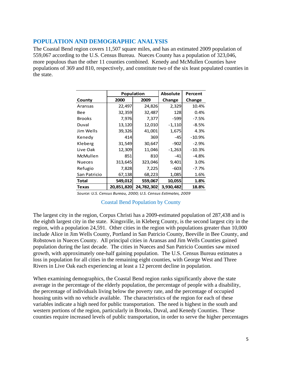#### **POPULATION AND DEMOGRAPHIC ANALYSIS**

The Coastal Bend region covers 11,507 square miles, and has an estimated 2009 population of 559,067 according to the U.S. Census Bureau. Nueces County has a population of 323,046, more populous than the other 11 counties combined. Kenedy and McMullen Counties have populations of 369 and 810, respectively, and constitute two of the six least populated counties in the state.

|               | <b>Population</b> |            | <b>Absolute</b> | Percent  |
|---------------|-------------------|------------|-----------------|----------|
| County        | 2000              | 2009       | Change          | Change   |
| Aransas       | 22,497            | 24,826     | 2,329           | 10.4%    |
| Bee           | 32,359            | 32,487     | 128             | 0.4%     |
| <b>Brooks</b> | 7,976             | 7,377      | -599            | $-7.5%$  |
| Duval         | 13,120            | 12,010     | $-1,110$        | -8.5%    |
| Jim Wells     | 39,326            | 41,001     | 1,675           | 4.3%     |
| Kenedy        | 414               | 369        | -45             | $-10.9%$ |
| Kleberg       | 31,549            | 30,647     | $-902$          | $-2.9\%$ |
| Live Oak      | 12,309            | 11,046     | $-1,263$        | $-10.3%$ |
| McMullen      | 851               | 810        | -41             | $-4.8%$  |
| <b>Nueces</b> | 313,645           | 323,046    | 9,401           | 3.0%     |
| Refugio       | 7,828             | 7,225      | -603            | $-7.7%$  |
| San Patricio  | 67,138            | 68,223     | 1,085           | 1.6%     |
| Total         | 549,012           | 559,067    | 10,055          | 1.8%     |
| <b>Texas</b>  | 20,851,820        | 24,782,302 | 3,930,482       | 18.8%    |

*Source: U.S. Census Bureau, 2000; U.S. Census Estimates, 2009*

#### Coastal Bend Population by County

The largest city in the region, Corpus Christi has a 2009-estimated population of 287,438 and is the eighth largest city in the state. Kingsville, in Kleberg County, is the second largest city in the region, with a population 24,591. Other cities in the region with populations greater than 10,000 include Alice in Jim Wells County, Portland in San Patricio County, Beeville in Bee County, and Robstown in Nueces County. All principal cities in Aransas and Jim Wells Counties gained population during the last decade. The cities in Nueces and San Patricio Counties saw mixed growth, with approximately one-half gaining population. The U.S. Census Bureau estimates a loss in population for all cities in the remaining eight counties, with George West and Three Rivers in Live Oak each experiencing at least a 12 percent decline in population.

When examining demographics, the Coastal Bend region ranks significantly above the state average in the percentage of the elderly population, the percentage of people with a disability, the percentage of individuals living below the poverty rate, and the percentage of occupied housing units with no vehicle available. The characteristics of the region for each of these variables indicate a high need for public transportation. The need is highest in the south and western portions of the region, particularly in Brooks, Duval, and Kenedy Counties. These counties require increased levels of public transportation, in order to serve the higher percentages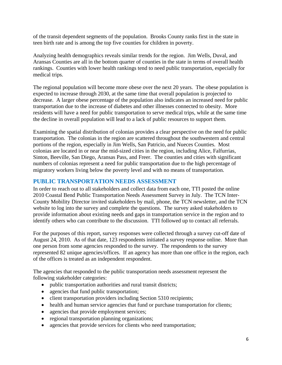of the transit dependent segments of the population. Brooks County ranks first in the state in teen birth rate and is among the top five counties for children in poverty.

Analyzing health demographics reveals similar trends for the region. Jim Wells, Duval, and Aransas Counties are all in the bottom quarter of counties in the state in terms of overall health rankings. Counties with lower health rankings tend to need public transportation, especially for medical trips.

The regional population will become more obese over the next 20 years. The obese population is expected to increase through 2030, at the same time that overall population is projected to decrease. A larger obese percentage of the population also indicates an increased need for public transportation due to the increase of diabetes and other illnesses connected to obesity. More residents will have a need for public transportation to serve medical trips, while at the same time the decline in overall population will lead to a lack of public resources to support them.

Examining the spatial distribution of colonias provides a clear perspective on the need for public transportation. The colonias in the region are scattered throughout the southwestern and central portions of the region, especially in Jim Wells, San Patricio, and Nueces Counties. Most colonias are located in or near the mid-sized cities in the region, including Alice, Falfurrias, Sinton, Beeville, San Diego, Aransas Pass, and Freer. The counties and cities with significant numbers of colonias represent a need for public transportation due to the high percentage of migratory workers living below the poverty level and with no means of transportation.

### **PUBLIC TRANSPORTATION NEEDS ASSESSMENT**

In order to reach out to all stakeholders and collect data from each one, TTI posted the online 2010 Coastal Bend Public Transportation Needs Assessment Survey in July. The TCN Inter-County Mobility Director invited stakeholders by mail, phone, the TCN newsletter, and the TCN website to log into the survey and complete the questions. The survey asked stakeholders to provide information about existing needs and gaps in transportation service in the region and to identify others who can contribute to the discussion. TTI followed up to contact all referrals.

For the purposes of this report, survey responses were collected through a survey cut-off date of August 24, 2010. As of that date, 123 respondents initiated a survey response online. More than one person from some agencies responded to the survey. The respondents to the survey represented 82 unique agencies/offices. If an agency has more than one office in the region, each of the offices is treated as an independent respondent.

The agencies that responded to the public transportation needs assessment represent the following stakeholder categories:

- public transportation authorities and rural transit districts;
- agencies that fund public transportation;
- client transportation providers including Section 5310 recipients;
- health and human service agencies that fund or purchase transportation for clients;
- agencies that provide employment services;
- regional transportation planning organizations;
- agencies that provide services for clients who need transportation;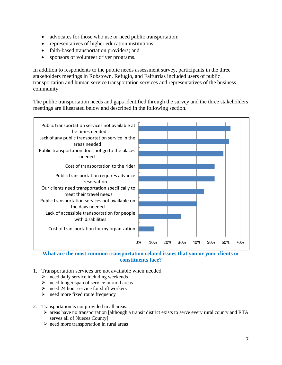- advocates for those who use or need public transportation;
- representatives of higher education institutions;
- faith-based transportation providers; and
- sponsors of volunteer driver programs.

In addition to respondents to the public needs assessment survey, participants in the three stakeholders meetings in Robstown, Refugio, and Falfurrias included users of public transportation and human service transportation services and representatives of the business community.

The public transportation needs and gaps identified through the survey and the three stakeholders meetings are illustrated below and described in the following section.



**What are the most common transportation related issues that you or your clients or constituents face?** 

- 1. Transportation services are not available when needed.
	- $\triangleright$  need daily service including weekends
	- $\triangleright$  need longer span of service in rural areas
	- $\geq$  need 24 hour service for shift workers
	- $\triangleright$  need more fixed route frequency
- 2. Transportation is not provided in all areas.
	- $\triangleright$  areas have no transportation [although a transit district exists to serve every rural county and RTA serves all of Nueces County]
	- $\triangleright$  need more transportation in rural areas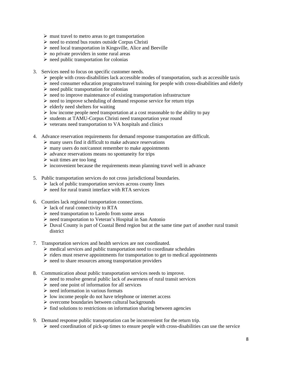- $\triangleright$  must travel to metro areas to get transportation
- $\triangleright$  need to extend bus routes outside Corpus Christi
- $\triangleright$  need local transportation in Kingsville, Alice and Beeville
- $\triangleright$  no private providers in some rural areas
- $\triangleright$  need public transportation for colonias
- 3. Services need to focus on specific customer needs.
	- $\triangleright$  people with cross-disabilities lack accessible modes of transportation, such as accessible taxis
	- $\triangleright$  need consumer education programs/travel training for people with cross-disabilities and elderly
	- $\triangleright$  need public transportation for colonias
	- $\triangleright$  need to improve maintenance of existing transportation infrastructure
	- $\triangleright$  need to improve scheduling of demand response service for return trips
	- $\triangleright$  elderly need shelters for waiting
	- $\triangleright$  low income people need transportation at a cost reasonable to the ability to pay
	- students at TAMU-Corpus Christi need transportation year round
	- $\triangleright$  veterans need transportation to VA hospitals and clinics
- 4. Advance reservation requirements for demand response transportation are difficult.
	- $\triangleright$  many users find it difficult to make advance reservations
	- $\triangleright$  many users do not/cannot remember to make appointments
	- $\triangleright$  advance reservations means no spontaneity for trips
	- $\triangleright$  wait times are too long
	- $\triangleright$  inconvenient because the requirements mean planning travel well in advance
- 5. Public transportation services do not cross jurisdictional boundaries.
	- $\triangleright$  lack of public transportation services across county lines
	- $\triangleright$  need for rural transit interface with RTA services
- 6. Counties lack regional transportation connections.
	- $\triangleright$  lack of rural connectivity to RTA
	- $\triangleright$  need transportation to Laredo from some areas
	- $\triangleright$  need transportation to Veteran's Hospital in San Antonio
	- $\triangleright$  Duval County is part of Coastal Bend region but at the same time part of another rural transit district
- 7. Transportation services and health services are not coordinated.
	- $\triangleright$  medical services and public transportation need to coordinate schedules
	- $\triangleright$  riders must reserve appointments for transportation to get to medical appointments
	- $\triangleright$  need to share resources among transportation providers
- 8. Communication about public transportation services needs to improve.
	- $\triangleright$  need to resolve general public lack of awareness of rural transit services
	- $\triangleright$  need one point of information for all services
	- $\triangleright$  need information in various formats
	- $\triangleright$  low income people do not have telephone or internet access
	- $\triangleright$  overcome boundaries between cultural backgrounds
	- $\triangleright$  find solutions to restrictions on information sharing between agencies
- 9. Demand response public transportation can be inconvenient for the return trip.
	- $\triangleright$  need coordination of pick-up times to ensure people with cross-disabilities can use the service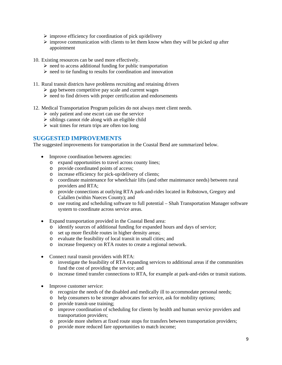- $\triangleright$  improve efficiency for coordination of pick up/delivery
- $\triangleright$  improve communication with clients to let them know when they will be picked up after appointment
- 10. Existing resources can be used more effectively.
	- $\triangleright$  need to access additional funding for public transportation
	- $\triangleright$  need to tie funding to results for coordination and innovation
- 11. Rural transit districts have problems recruiting and retaining drivers
	- $\ge$  gap between competitive pay scale and current wages
	- $\triangleright$  need to find drivers with proper certification and endorsements
- 12. Medical Transportation Program policies do not always meet client needs.
	- $\triangleright$  only patient and one escort can use the service
	- $\triangleright$  siblings cannot ride along with an eligible child
	- $\triangleright$  wait times for return trips are often too long

#### **SUGGESTED IMPROVEMENTS**

The suggested improvements for transportation in the Coastal Bend are summarized below.

- Improve coordination between agencies:
	- o expand opportunities to travel across county lines;
	- o provide coordinated points of access;
	- o increase efficiency for pick-up/delivery of clients;
	- o coordinate maintenance for wheelchair lifts (and other maintenance needs) between rural providers and RTA;
	- o provide connections at outlying RTA park-and-rides located in Robstown, Gregory and Calallen (within Nueces County); and
	- o use routing and scheduling software to full potential Shah Transportation Manager software system to coordinate across service areas.
- Expand transportation provided in the Coastal Bend area:
	- o identify sources of additional funding for expanded hours and days of service;
	- o set up more flexible routes in higher density areas;
	- o evaluate the feasibility of local transit in small cities; and
	- o increase frequency on RTA routes to create a regional network.
- Connect rural transit providers with RTA:
	- o investigate the feasibility of RTA expanding services to additional areas if the communities fund the cost of providing the service; and
	- o increase timed transfer connections to RTA, for example at park-and-rides or transit stations.
- Improve customer service:
	- o recognize the needs of the disabled and medically ill to accommodate personal needs;
	- o help consumers to be stronger advocates for service, ask for mobility options;
	- o provide transit-use training;
	- o improve coordination of scheduling for clients by health and human service providers and transportation providers;
	- o provide more shelters at fixed route stops for transfers between transportation providers;
	- o provide more reduced fare opportunities to match income;